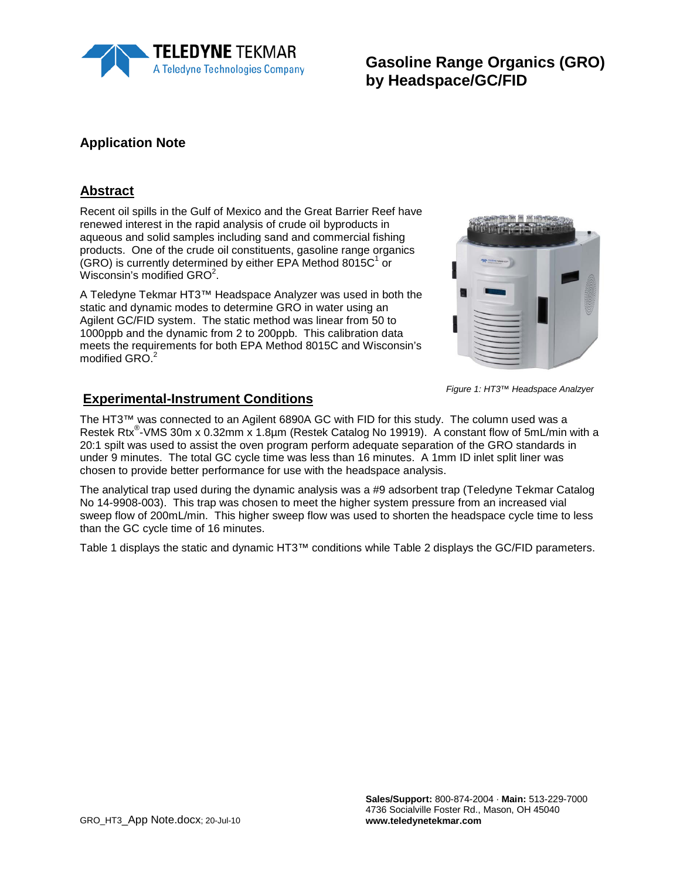

**Gasoline Range Organics (GRO) by Headspace/GC/FID**

#### **Application Note**

#### **Abstract**

Recent oil spills in the Gulf of Mexico and the Great Barrier Reef have renewed interest in the rapid analysis of crude oil byproducts in aqueous and solid samples including sand and commercial fishing products. One of the crude oil constituents, gasoline range organics  $(GRO)$  is currently determined by either EPA Method 8015 $C<sup>1</sup>$  or Wisconsin's modified  $GRO<sup>2</sup>$ .

A Teledyne Tekmar HT3™ Headspace Analyzer was used in both the static and dynamic modes to determine GRO in water using an Agilent GC/FID system. The static method was linear from 50 to 1000ppb and the dynamic from 2 to 200ppb. This calibration data meets the requirements for both EPA Method 8015C and Wisconsin's modified GRO.<sup>2</sup>



The HT3™ was connected to an Agilent 6890A GC with FID for this study. The column used was a Restek Rtx<sup>®</sup>-VMS 30m x 0.32mm x 1.8µm (Restek Catalog No 19919). A constant flow of 5mL/min with a 20:1 spilt was used to assist the oven program perform adequate separation of the GRO standards in under 9 minutes. The total GC cycle time was less than 16 minutes. A 1mm ID inlet split liner was chosen to provide better performance for use with the headspace analysis.

The analytical trap used during the dynamic analysis was a #9 adsorbent trap (Teledyne Tekmar Catalog No 14-9908-003). This trap was chosen to meet the higher system pressure from an increased vial sweep flow of 200mL/min. This higher sweep flow was used to shorten the headspace cycle time to less than the GC cycle time of 16 minutes.

Table 1 displays the static and dynamic HT3™ conditions while Table 2 displays the GC/FID parameters.



*Figure 1: HT3™ Headspace Analzyer*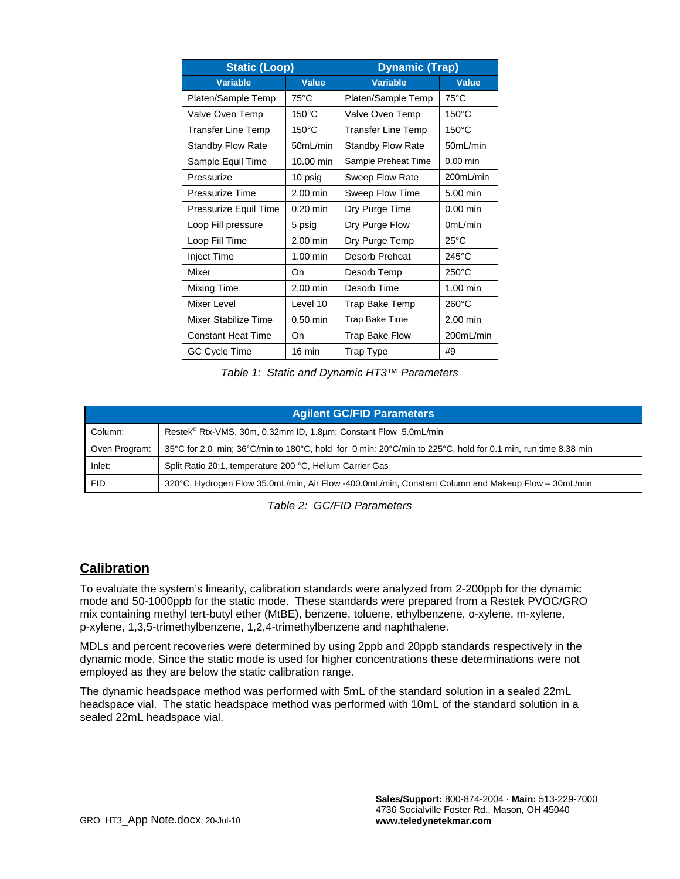| <b>Static (Loop)</b>      |                 | <b>Dynamic (Trap)</b>     |                 |  |
|---------------------------|-----------------|---------------------------|-----------------|--|
| <b>Variable</b>           | <b>Value</b>    | <b>Variable</b>           | Value           |  |
| Platen/Sample Temp        | $75^{\circ}$ C  | Platen/Sample Temp        | $75^{\circ}$ C  |  |
| Valve Oven Temp           | $150^{\circ}$ C | Valve Oven Temp           | $150^{\circ}$ C |  |
| <b>Transfer Line Temp</b> | $150^{\circ}$ C | <b>Transfer Line Temp</b> | $150^{\circ}$ C |  |
| <b>Standby Flow Rate</b>  | 50mL/min        | <b>Standby Flow Rate</b>  | 50mL/min        |  |
| Sample Equil Time         | 10.00 min       | Sample Preheat Time       | $0.00$ min      |  |
| Pressurize                | 10 psig         | Sweep Flow Rate           | 200mL/min       |  |
| Pressurize Time           | 2.00 min        | Sweep Flow Time           | 5.00 min        |  |
| Pressurize Equil Time     | $0.20$ min      | Dry Purge Time            | $0.00$ min      |  |
| Loop Fill pressure        | 5 psig          | Dry Purge Flow            | 0mL/min         |  |
| Loop Fill Time            | $2.00$ min      | Dry Purge Temp            | $25^{\circ}$ C  |  |
| <b>Inject Time</b>        | $1.00$ min      | Desorb Preheat            | $245^{\circ}$ C |  |
| Mixer                     | On              | Desorb Temp               | $250^{\circ}$ C |  |
| Mixing Time               | $2.00$ min      | Desorb Time               | $1.00$ min      |  |
| Mixer Level               | Level 10        | Trap Bake Temp            | $260^{\circ}$ C |  |
| Mixer Stabilize Time      | $0.50$ min      | Trap Bake Time            | 2.00 min        |  |
| <b>Constant Heat Time</b> | On              | <b>Trap Bake Flow</b>     | 200mL/min       |  |
| GC Cycle Time             | 16 min          | Trap Type                 | #9              |  |

*Table 1: Static and Dynamic HT3™ Parameters* 

| <b>Agilent GC/FID Parameters</b> |                                                                                                             |  |  |
|----------------------------------|-------------------------------------------------------------------------------------------------------------|--|--|
| Column:                          | Restek <sup>®</sup> Rtx-VMS, 30m, 0.32mm ID, 1.8µm; Constant Flow 5.0mL/min                                 |  |  |
| Oven Program:                    | 35°C for 2.0 min; 36°C/min to 180°C, hold for 0 min: 20°C/min to 225°C, hold for 0.1 min, run time 8.38 min |  |  |
| Inlet:                           | Split Ratio 20:1, temperature 200 °C, Helium Carrier Gas                                                    |  |  |
| <b>FID</b>                       | 320°C, Hydrogen Flow 35.0mL/min, Air Flow -400.0mL/min, Constant Column and Makeup Flow - 30mL/min          |  |  |

*Table 2: GC/FID Parameters* 

#### **Calibration**

To evaluate the system's linearity, calibration standards were analyzed from 2-200ppb for the dynamic mode and 50-1000ppb for the static mode. These standards were prepared from a Restek PVOC/GRO mix containing methyl tert-butyl ether (MtBE), benzene, toluene, ethylbenzene, o-xylene, m-xylene, p-xylene, 1,3,5-trimethylbenzene, 1,2,4-trimethylbenzene and naphthalene.

MDLs and percent recoveries were determined by using 2ppb and 20ppb standards respectively in the dynamic mode. Since the static mode is used for higher concentrations these determinations were not employed as they are below the static calibration range.

The dynamic headspace method was performed with 5mL of the standard solution in a sealed 22mL headspace vial. The static headspace method was performed with 10mL of the standard solution in a sealed 22mL headspace vial.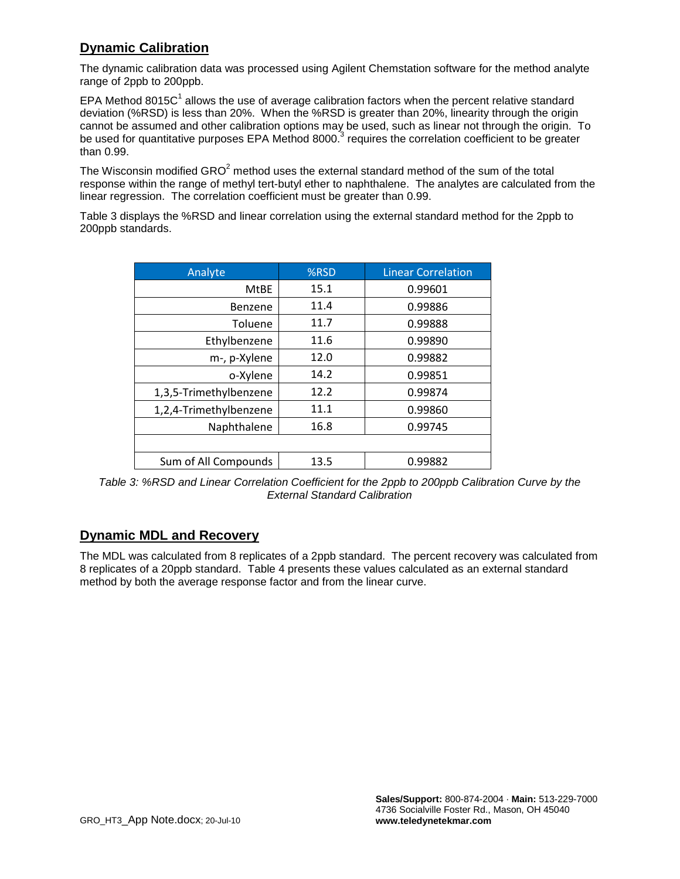## **Dynamic Calibration**

The dynamic calibration data was processed using Agilent Chemstation software for the method analyte range of 2ppb to 200ppb.

EPA Method 8015 $C<sup>1</sup>$  allows the use of average calibration factors when the percent relative standard deviation (%RSD) is less than 20%. When the %RSD is greater than 20%, linearity through the origin cannot be assumed and other calibration options may be used, such as linear not through the origin. To be used for quantitative purposes EPA Method 8000.<sup>3</sup> requires the correlation coefficient to be greater than 0.99.

The Wisconsin modified  $GRO<sup>2</sup>$  method uses the external standard method of the sum of the total response within the range of methyl tert-butyl ether to naphthalene. The analytes are calculated from the linear regression. The correlation coefficient must be greater than 0.99.

Table 3 displays the %RSD and linear correlation using the external standard method for the 2ppb to 200ppb standards.

| Analyte                | %RSD | <b>Linear Correlation</b> |
|------------------------|------|---------------------------|
| <b>MtBE</b>            | 15.1 | 0.99601                   |
| Benzene                | 11.4 | 0.99886                   |
| Toluene                | 11.7 | 0.99888                   |
| Ethylbenzene           | 11.6 | 0.99890                   |
| m-, p-Xylene           | 12.0 | 0.99882                   |
| o-Xylene               | 14.2 | 0.99851                   |
| 1,3,5-Trimethylbenzene | 12.2 | 0.99874                   |
| 1,2,4-Trimethylbenzene | 11.1 | 0.99860                   |
| Naphthalene            | 16.8 | 0.99745                   |
|                        |      |                           |
| Sum of All Compounds   | 13.5 | 0.99882                   |

*Table 3: %RSD and Linear Correlation Coefficient for the 2ppb to 200ppb Calibration Curve by the External Standard Calibration*

#### **Dynamic MDL and Recovery**

The MDL was calculated from 8 replicates of a 2ppb standard. The percent recovery was calculated from 8 replicates of a 20ppb standard. Table 4 presents these values calculated as an external standard method by both the average response factor and from the linear curve.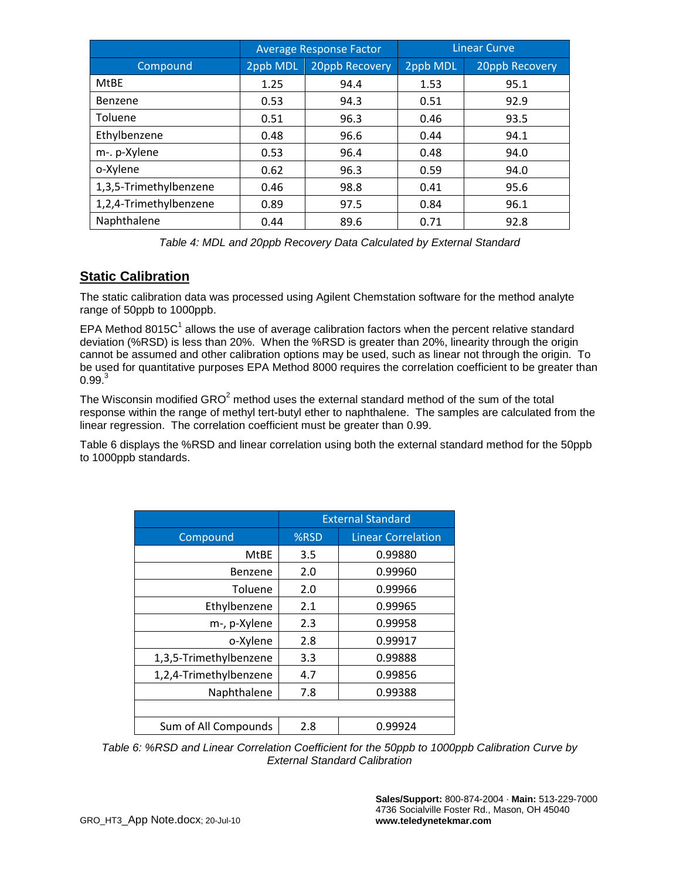|                        | <b>Average Response Factor</b> |                | <b>Linear Curve</b> |                |
|------------------------|--------------------------------|----------------|---------------------|----------------|
| Compound               | 2ppb MDL                       | 20ppb Recovery | 2ppb MDL            | 20ppb Recovery |
| <b>MtBE</b>            | 1.25                           | 94.4           | 1.53                | 95.1           |
| Benzene                | 0.53                           | 94.3           | 0.51                | 92.9           |
| Toluene                | 0.51                           | 96.3           | 0.46                | 93.5           |
| Ethylbenzene           | 0.48                           | 96.6           | 0.44                | 94.1           |
| m-. p-Xylene           | 0.53                           | 96.4           | 0.48                | 94.0           |
| o-Xylene               | 0.62                           | 96.3           | 0.59                | 94.0           |
| 1,3,5-Trimethylbenzene | 0.46                           | 98.8           | 0.41                | 95.6           |
| 1,2,4-Trimethylbenzene | 0.89                           | 97.5           | 0.84                | 96.1           |
| Naphthalene            | 0.44                           | 89.6           | 0.71                | 92.8           |

*Table 4: MDL and 20ppb Recovery Data Calculated by External Standard*

## **Static Calibration**

The static calibration data was processed using Agilent Chemstation software for the method analyte range of 50ppb to 1000ppb.

EPA Method 8015 $C<sup>1</sup>$  allows the use of average calibration factors when the percent relative standard deviation (%RSD) is less than 20%. When the %RSD is greater than 20%, linearity through the origin cannot be assumed and other calibration options may be used, such as linear not through the origin. To be used for quantitative purposes EPA Method 8000 requires the correlation coefficient to be greater than  $0.99<sup>3</sup>$ 

The Wisconsin modified  $GRO<sup>2</sup>$  method uses the external standard method of the sum of the total response within the range of methyl tert-butyl ether to naphthalene. The samples are calculated from the linear regression. The correlation coefficient must be greater than 0.99.

Table 6 displays the %RSD and linear correlation using both the external standard method for the 50ppb to 1000ppb standards.

|                        | <b>External Standard</b> |                           |
|------------------------|--------------------------|---------------------------|
| Compound               | %RSD                     | <b>Linear Correlation</b> |
| <b>MtBE</b>            | 3.5                      | 0.99880                   |
| Benzene                | 2.0                      | 0.99960                   |
| Toluene                | 2.0                      | 0.99966                   |
| Ethylbenzene           | 2.1                      | 0.99965                   |
| m-, p-Xylene           | 2.3                      | 0.99958                   |
| o-Xylene               | 2.8                      | 0.99917                   |
| 1,3,5-Trimethylbenzene | 3.3                      | 0.99888                   |
| 1,2,4-Trimethylbenzene | 4.7                      | 0.99856                   |
| Naphthalene            | 7.8                      | 0.99388                   |
|                        |                          |                           |
| Sum of All Compounds   | 2.8                      | 0.99924                   |

*Table 6: %RSD and Linear Correlation Coefficient for the 50ppb to 1000ppb Calibration Curve by External Standard Calibration*